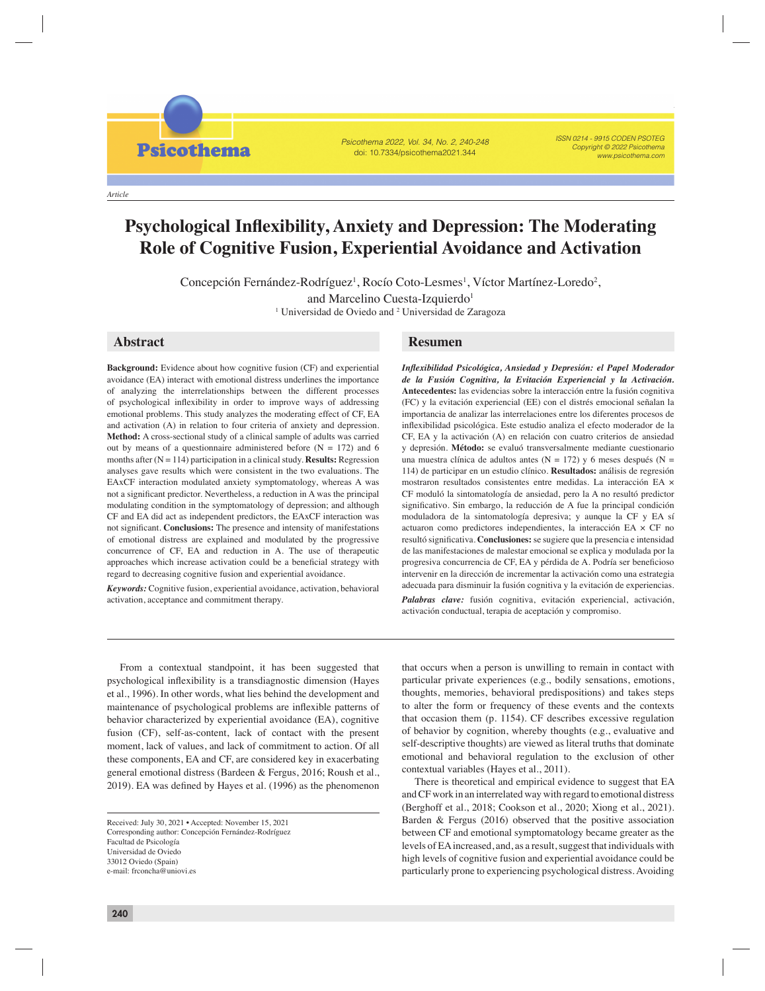**Psicothema** 

*Article*

## Psicothema 2022, Vol. 34, No. 2, 240-248 doi: 10.7334/psicothema2021.344

ISSN 0214 - 9915 CODEN PSOTEG Copyright © 2022 Psicothema www.psicothema.com

# **Psychological Inflexibility, Anxiety and Depression: The Moderating Role of Cognitive Fusion, Experiential Avoidance and Activation**

Concepción Fernández-Rodríguez, Rocío Coto-Lesmes, Víctor Martínez-Loredo, and Marcelino Cuesta-Izquierdo

Concepción Fernández-Rodríguez<sup>1</sup>, Rocío Coto-Lesmes<sup>1</sup>, Víctor Martínez-Loredo<sup>2</sup>, and Marcelino Cuesta-Izquierdo<sup>1</sup> <sup>1</sup> Universidad de Oviedo and <sup>2</sup> Universidad de Zaragoza

**Background:** Evidence about how cognitive fusion (CF) and experiential avoidance (EA) interact with emotional distress underlines the importance of analyzing the interrelationships between the different processes of psychological inflexibility in order to improve ways of addressing emotional problems. This study analyzes the moderating effect of CF, EA and activation (A) in relation to four criteria of anxiety and depression. **Method:** A cross-sectional study of a clinical sample of adults was carried out by means of a questionnaire administered before  $(N = 172)$  and 6 months after (N = 114) participation in a clinical study. **Results:** Regression analyses gave results which were consistent in the two evaluations. The EAxCF interaction modulated anxiety symptomatology, whereas A was not a significant predictor. Nevertheless, a reduction in A was the principal modulating condition in the symptomatology of depression; and although CF and EA did act as independent predictors, the EAxCF interaction was not significant. **Conclusions:** The presence and intensity of manifestations of emotional distress are explained and modulated by the progressive concurrence of CF, EA and reduction in A. The use of therapeutic approaches which increase activation could be a beneficial strategy with regard to decreasing cognitive fusion and experiential avoidance.

*Keywords:* Cognitive fusion, experiential avoidance, activation, behavioral activation, acceptance and commitment therapy.

# **Abstract Resumen**

*Infl exibilidad Psicológica, Ansiedad y Depresión: el Papel Moderador de la Fusión Cognitiva, la Evitación Experiencial y la Activación.* **Antecedentes:** las evidencias sobre la interacción entre la fusión cognitiva (FC) y la evitación experiencial (EE) con el distrés emocional señalan la importancia de analizar las interrelaciones entre los diferentes procesos de infl exibilidad psicológica. Este estudio analiza el efecto moderador de la CF, EA y la activación (A) en relación con cuatro criterios de ansiedad y depresión. **Método:** se evaluó transversalmente mediante cuestionario una muestra clínica de adultos antes (N = 172) y 6 meses después (N = 114) de participar en un estudio clínico. **Resultados:** análisis de regresión mostraron resultados consistentes entre medidas. La interacción EA × CF moduló la sintomatología de ansiedad, pero la A no resultó predictor significativo. Sin embargo, la reducción de A fue la principal condición moduladora de la sintomatología depresiva; y aunque la CF y EA sí actuaron como predictores independientes, la interacción EA × CF no resultó significativa. **Conclusiones:** se sugiere que la presencia e intensidad de las manifestaciones de malestar emocional se explica y modulada por la progresiva concurrencia de CF, EA y pérdida de A. Podría ser beneficioso intervenir en la dirección de incrementar la activación como una estrategia adecuada para disminuir la fusión cognitiva y la evitación de experiencias.

*Palabras clave:* fusión cognitiva, evitación experiencial, activación, activación conductual, terapia de aceptación y compromiso.

From a contextual standpoint, it has been suggested that psychological inflexibility is a transdiagnostic dimension (Hayes et al., 1996). In other words, what lies behind the development and maintenance of psychological problems are inflexible patterns of behavior characterized by experiential avoidance (EA), cognitive fusion (CF), self-as-content, lack of contact with the present moment, lack of values, and lack of commitment to action. Of all these components, EA and CF, are considered key in exacerbating general emotional distress (Bardeen & Fergus, 2016; Roush et al., 2019). EA was defined by Hayes et al. (1996) as the phenomenon

that occurs when a person is unwilling to remain in contact with particular private experiences (e.g., bodily sensations, emotions, thoughts, memories, behavioral predispositions) and takes steps to alter the form or frequency of these events and the contexts that occasion them (p. 1154). CF describes excessive regulation of behavior by cognition, whereby thoughts (e.g., evaluative and self-descriptive thoughts) are viewed as literal truths that dominate emotional and behavioral regulation to the exclusion of other contextual variables (Hayes et al., 2011).

There is theoretical and empirical evidence to suggest that EA and CF work in an interrelated way with regard to emotional distress (Berghoff et al., 2018; Cookson et al., 2020; Xiong et al., 2021). Barden & Fergus (2016) observed that the positive association between CF and emotional symptomatology became greater as the levels of EA increased, and, as a result, suggest that individuals with high levels of cognitive fusion and experiential avoidance could be particularly prone to experiencing psychological distress. Avoiding

Received: July 30, 2021 • Accepted: November 15, 2021 Corresponding author: Concepción Fernández-Rodríguez Facultad de Psicología Universidad de Oviedo 33012 Oviedo (Spain) e-mail: frconcha@uniovi.es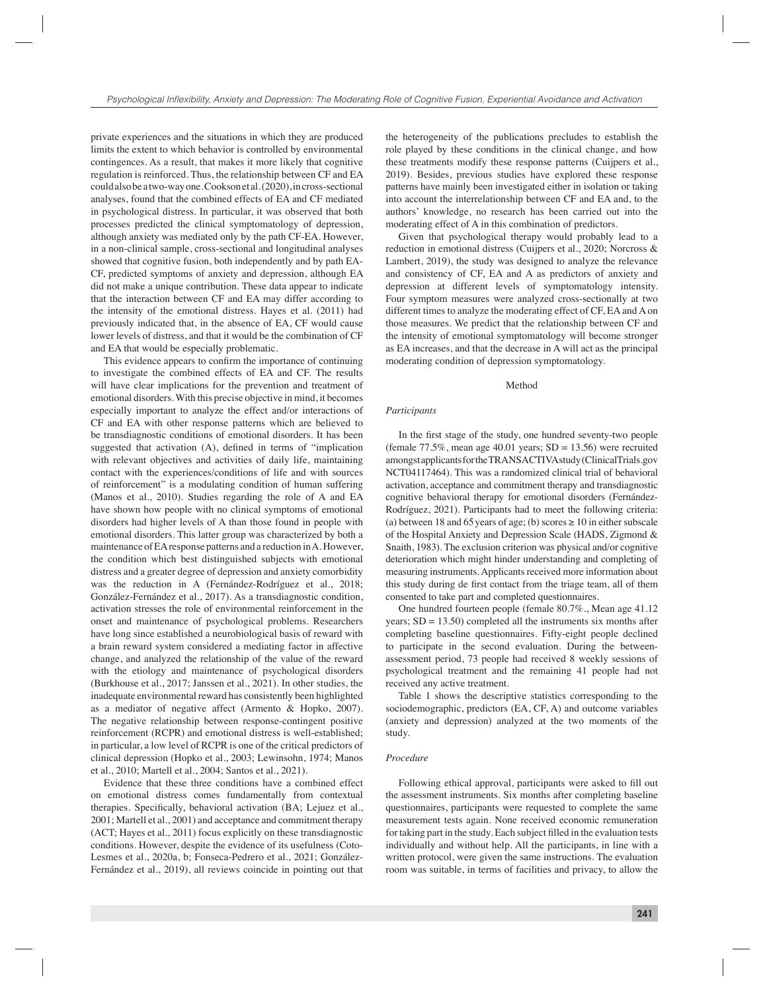private experiences and the situations in which they are produced limits the extent to which behavior is controlled by environmental contingences. As a result, that makes it more likely that cognitive regulation is reinforced. Thus, the relationship between CF and EA could also be a two-way one. Cookson et al. (2020), in cross-sectional analyses, found that the combined effects of EA and CF mediated in psychological distress. In particular, it was observed that both processes predicted the clinical symptomatology of depression, although anxiety was mediated only by the path CF-EA. However, in a non-clinical sample, cross-sectional and longitudinal analyses showed that cognitive fusion, both independently and by path EA-CF, predicted symptoms of anxiety and depression, although EA did not make a unique contribution. These data appear to indicate that the interaction between CF and EA may differ according to the intensity of the emotional distress. Hayes et al. (2011) had previously indicated that, in the absence of EA, CF would cause lower levels of distress, and that it would be the combination of CF and EA that would be especially problematic.

This evidence appears to confirm the importance of continuing to investigate the combined effects of EA and CF. The results will have clear implications for the prevention and treatment of emotional disorders. With this precise objective in mind, it becomes especially important to analyze the effect and/or interactions of CF and EA with other response patterns which are believed to be transdiagnostic conditions of emotional disorders. It has been suggested that activation  $(A)$ , defined in terms of "implication" with relevant objectives and activities of daily life, maintaining contact with the experiences/conditions of life and with sources of reinforcement" is a modulating condition of human suffering (Manos et al., 2010). Studies regarding the role of A and EA have shown how people with no clinical symptoms of emotional disorders had higher levels of A than those found in people with emotional disorders. This latter group was characterized by both a maintenance of EA response patterns and a reduction in A. However, the condition which best distinguished subjects with emotional distress and a greater degree of depression and anxiety comorbidity was the reduction in A (Fernández-Rodríguez et al., 2018; González-Fernández et al., 2017). As a transdiagnostic condition, activation stresses the role of environmental reinforcement in the onset and maintenance of psychological problems. Researchers have long since established a neurobiological basis of reward with a brain reward system considered a mediating factor in affective change, and analyzed the relationship of the value of the reward with the etiology and maintenance of psychological disorders (Burkhouse et al., 2017; Janssen et al., 2021). In other studies, the inadequate environmental reward has consistently been highlighted as a mediator of negative affect (Armento & Hopko, 2007). The negative relationship between response-contingent positive reinforcement (RCPR) and emotional distress is well-established; in particular, a low level of RCPR is one of the critical predictors of clinical depression (Hopko et al., 2003; Lewinsohn, 1974; Manos et al., 2010; Martell et al., 2004; Santos et al., 2021).

Evidence that these three conditions have a combined effect on emotional distress comes fundamentally from contextual therapies. Specifically, behavioral activation (BA; Lejuez et al., 2001; Martell et al., 2001) and acceptance and commitment therapy (ACT; Hayes et al., 2011) focus explicitly on these transdiagnostic conditions. However, despite the evidence of its usefulness (Coto-Lesmes et al., 2020a, b; Fonseca-Pedrero et al., 2021; González-Fernández et al., 2019), all reviews coincide in pointing out that

the heterogeneity of the publications precludes to establish the role played by these conditions in the clinical change, and how these treatments modify these response patterns (Cuijpers et al., 2019). Besides, previous studies have explored these response patterns have mainly been investigated either in isolation or taking into account the interrelationship between CF and EA and, to the authors' knowledge, no research has been carried out into the moderating effect of A in this combination of predictors.

Given that psychological therapy would probably lead to a reduction in emotional distress (Cuijpers et al., 2020; Norcross & Lambert, 2019), the study was designed to analyze the relevance and consistency of CF, EA and A as predictors of anxiety and depression at different levels of symptomatology intensity. Four symptom measures were analyzed cross-sectionally at two different times to analyze the moderating effect of CF, EA and A on those measures. We predict that the relationship between CF and the intensity of emotional symptomatology will become stronger as EA increases, and that the decrease in A will act as the principal moderating condition of depression symptomatology.

## Method

#### *Participants*

In the first stage of the study, one hundred seventy-two people (female  $77.5\%$ , mean age  $40.01$  years; SD = 13.56) were recruited amongst applicants for the TRANSACTIVA study (ClinicalTrials.gov NCT04117464). This was a randomized clinical trial of behavioral activation, acceptance and commitment therapy and transdiagnostic cognitive behavioral therapy for emotional disorders (Fernández-Rodríguez, 2021). Participants had to meet the following criteria: (a) between 18 and 65 years of age; (b) scores  $\geq 10$  in either subscale of the Hospital Anxiety and Depression Scale (HADS, Zigmond & Snaith, 1983). The exclusion criterion was physical and/or cognitive deterioration which might hinder understanding and completing of measuring instruments. Applicants received more information about this study during de first contact from the triage team, all of them consented to take part and completed questionnaires.

One hundred fourteen people (female 80.7%., Mean age 41.12 years;  $SD = 13.50$ ) completed all the instruments six months after completing baseline questionnaires. Fifty-eight people declined to participate in the second evaluation. During the betweenassessment period, 73 people had received 8 weekly sessions of psychological treatment and the remaining 41 people had not received any active treatment.

Table 1 shows the descriptive statistics corresponding to the sociodemographic, predictors (EA, CF, A) and outcome variables (anxiety and depression) analyzed at the two moments of the study.

### *Procedure*

Following ethical approval, participants were asked to fill out the assessment instruments. Six months after completing baseline questionnaires, participants were requested to complete the same measurement tests again. None received economic remuneration for taking part in the study. Each subject filled in the evaluation tests individually and without help. All the participants, in line with a written protocol, were given the same instructions. The evaluation room was suitable, in terms of facilities and privacy, to allow the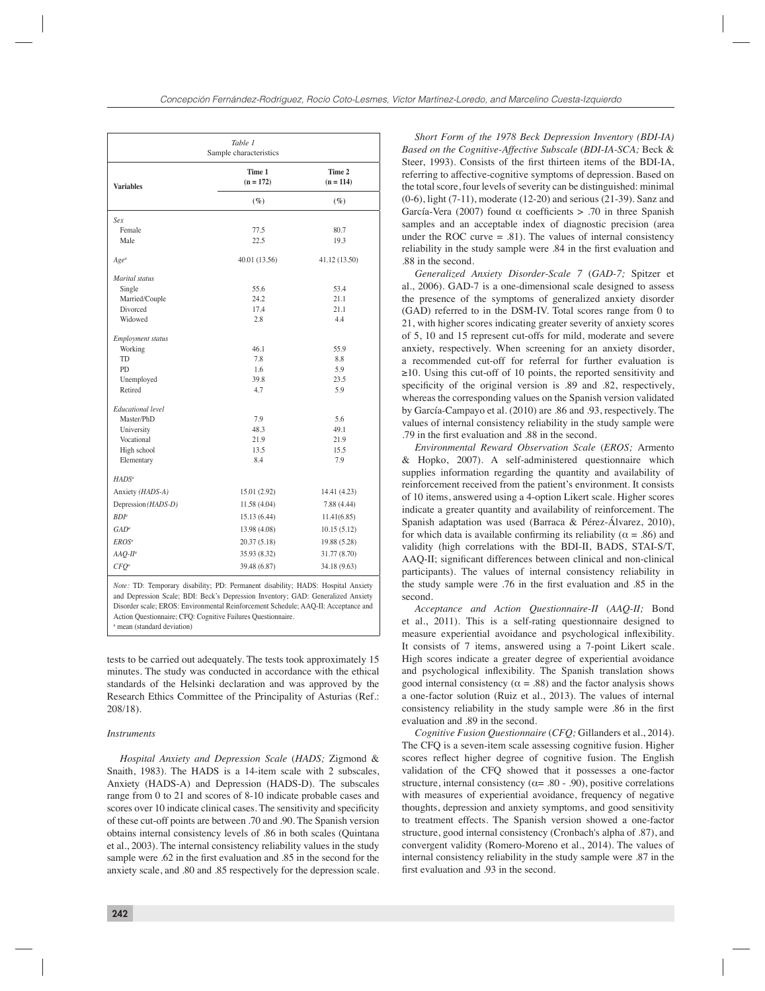| Table 1<br>Sample characteristics |                       |                                 |  |  |  |  |
|-----------------------------------|-----------------------|---------------------------------|--|--|--|--|
| <b>Variables</b>                  | Time 1<br>$(n = 172)$ | Time 2<br>$(n = 114)$<br>$(\%)$ |  |  |  |  |
|                                   | $(\%)$                |                                 |  |  |  |  |
| Sex                               |                       |                                 |  |  |  |  |
| Female                            | 77.5                  | 80.7                            |  |  |  |  |
| Male                              | 22.5                  | 19.3                            |  |  |  |  |
| $Age^a$                           | 40.01 (13.56)         | 41.12 (13.50)                   |  |  |  |  |
| Marital status                    |                       |                                 |  |  |  |  |
| Single                            | 55.6                  | 53.4                            |  |  |  |  |
| Married/Couple                    | 24.2                  | 21.1                            |  |  |  |  |
| Divorced                          | 17.4                  | 21.1                            |  |  |  |  |
| Widowed                           | 2.8                   | 4.4                             |  |  |  |  |
| <b>Employment status</b>          |                       |                                 |  |  |  |  |
| Working                           | 46.1                  | 55.9                            |  |  |  |  |
| <b>TD</b>                         | 7.8                   | 8.8                             |  |  |  |  |
| P <sub>D</sub>                    | 1.6                   | 5.9                             |  |  |  |  |
| Unemployed                        | 39.8                  | 23.5                            |  |  |  |  |
| Retired                           | 4.7                   | 5.9                             |  |  |  |  |
| <b>Educational level</b>          |                       |                                 |  |  |  |  |
| Master/PhD                        | 7.9                   | 5.6                             |  |  |  |  |
| University                        | 48.3                  | 49.1                            |  |  |  |  |
| Vocational                        | 21.9                  | 21.9                            |  |  |  |  |
| High school                       | 13.5                  | 15.5                            |  |  |  |  |
| Elementary                        | 8.4                   | 7.9                             |  |  |  |  |
| HADS <sup>a</sup>                 |                       |                                 |  |  |  |  |
| Anxiety (HADS-A)                  | 15.01 (2.92)          | 14.41 (4.23)                    |  |  |  |  |
| Depression (HADS-D)               | 11.58(4.04)           | 7.88 (4.44)                     |  |  |  |  |
| BDP                               | 15.13 (6.44)          | 11.41(6.85)                     |  |  |  |  |
| $GAD^a$                           | 13.98 (4.08)          | 10.15(5.12)                     |  |  |  |  |
| EROS <sup>a</sup>                 | 20.37(5.18)           | 19.88 (5.28)                    |  |  |  |  |
| $AAQ$ - $II^a$                    | 35.93 (8.32)          | 31.77 (8.70)                    |  |  |  |  |
| $CFO^a$                           | 39.48 (6.87)          | 34.18 (9.63)                    |  |  |  |  |

*Note:* TD: Temporary disability; PD: Permanent disability; HADS: Hospital Anxiety and Depression Scale; BDI: Beck's Depression Inventory; GAD: Generalized Anxiety Disorder scale; EROS: Environmental Reinforcement Schedule; AAQ-II: Acceptance and Action Questionnaire; CFQ: Cognitive Failures Questionnaire. a mean (standard deviation)

tests to be carried out adequately. The tests took approximately 15 minutes. The study was conducted in accordance with the ethical standards of the Helsinki declaration and was approved by the Research Ethics Committee of the Principality of Asturias (Ref.: 208/18).

## *Instruments*

*Hospital Anxiety and Depression Scale* (*HADS;* Zigmond & Snaith, 1983). The HADS is a 14-item scale with 2 subscales, Anxiety (HADS-A) and Depression (HADS-D). The subscales range from 0 to 21 and scores of 8-10 indicate probable cases and scores over 10 indicate clinical cases. The sensitivity and specificity of these cut-off points are between .70 and .90. The Spanish version obtains internal consistency levels of .86 in both scales (Quintana et al., 2003). The internal consistency reliability values in the study sample were .62 in the first evaluation and .85 in the second for the anxiety scale, and .80 and .85 respectively for the depression scale.

*Short Form of the 1978 Beck Depression Inventory (BDI-IA) Based on the Cognitive-Affective Subscale* (*BDI-IA-SCA;* Beck & Steer, 1993). Consists of the first thirteen items of the BDI-IA, referring to affective-cognitive symptoms of depression. Based on the total score, four levels of severity can be distinguished: minimal (0-6), light (7-11), moderate (12-20) and serious (21-39). Sanz and García-Vera (2007) found  $\alpha$  coefficients > .70 in three Spanish samples and an acceptable index of diagnostic precision (area under the ROC curve  $= .81$ ). The values of internal consistency reliability in the study sample were .84 in the first evaluation and .88 in the second.

*Generalized Anxiety Disorder-Scale 7* (*GAD-7;* Spitzer et al., 2006). GAD-7 is a one-dimensional scale designed to assess the presence of the symptoms of generalized anxiety disorder (GAD) referred to in the DSM-IV. Total scores range from 0 to 21, with higher scores indicating greater severity of anxiety scores of 5, 10 and 15 represent cut-offs for mild, moderate and severe anxiety, respectively. When screening for an anxiety disorder, a recommended cut-off for referral for further evaluation is  $\geq$ 10. Using this cut-off of 10 points, the reported sensitivity and specificity of the original version is .89 and .82, respectively, whereas the corresponding values on the Spanish version validated by García-Campayo et al. (2010) are .86 and .93, respectively. The values of internal consistency reliability in the study sample were .79 in the first evaluation and .88 in the second.

*Environmental Reward Observation Scale* (*EROS;* Armento & Hopko, 2007). A self-administered questionnaire which supplies information regarding the quantity and availability of reinforcement received from the patient's environment. It consists of 10 items, answered using a 4-option Likert scale. Higher scores indicate a greater quantity and availability of reinforcement. The Spanish adaptation was used (Barraca & Pérez-Álvarez, 2010), for which data is available confirming its reliability ( $\alpha = .86$ ) and validity (high correlations with the BDI-II, BADS, STAI-S/T, AAQ-II; significant differences between clinical and non-clinical participants). The values of internal consistency reliability in the study sample were .76 in the first evaluation and .85 in the second.

*Acceptance and Action Questionnaire-II* (*AAQ-II;* Bond et al., 2011). This is a self-rating questionnaire designed to measure experiential avoidance and psychological inflexibility. It consists of 7 items, answered using a 7-point Likert scale. High scores indicate a greater degree of experiential avoidance and psychological inflexibility. The Spanish translation shows good internal consistency ( $\alpha = .88$ ) and the factor analysis shows a one-factor solution (Ruiz et al., 2013). The values of internal consistency reliability in the study sample were .86 in the first evaluation and .89 in the second.

*Cognitive Fusion Questionnaire* (*CFQ;* Gillanders et al., 2014). The CFQ is a seven-item scale assessing cognitive fusion. Higher scores reflect higher degree of cognitive fusion. The English validation of the CFQ showed that it possesses a one-factor structure, internal consistency ( $\alpha$ = .80 - .90), positive correlations with measures of experiential avoidance, frequency of negative thoughts, depression and anxiety symptoms, and good sensitivity to treatment effects. The Spanish version showed a one-factor structure, good internal consistency (Cronbach's alpha of .87), and convergent validity (Romero-Moreno et al., 2014). The values of internal consistency reliability in the study sample were .87 in the first evaluation and .93 in the second.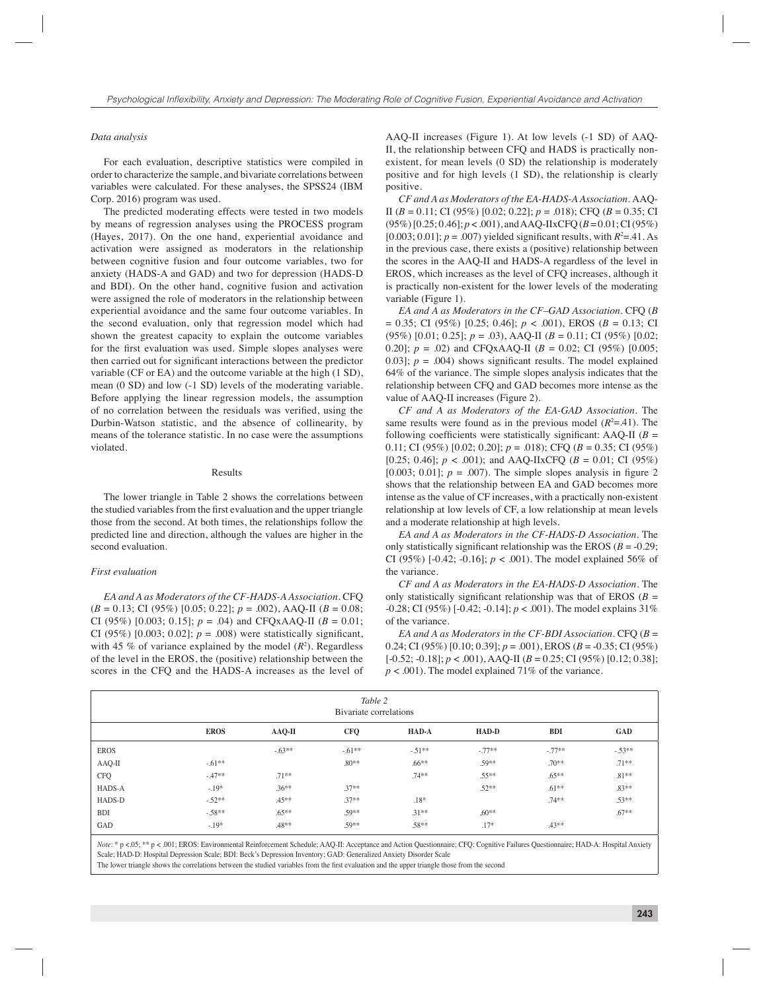# *Data analysis*

For each evaluation, descriptive statistics were compiled in order to characterize the sample, and bivariate correlations between variables were calculated. For these analyses, the SPSS24 (IBM Corp. 2016) program was used.

The predicted moderating effects were tested in two models by means of regression analyses using the PROCESS program (Hayes, 2017). On the one hand, experiential avoidance and activation were assigned as moderators in the relationship between cognitive fusion and four outcome variables, two for anxiety (HADS-A and GAD) and two for depression (HADS-D and BDI). On the other hand, cognitive fusion and activation were assigned the role of moderators in the relationship between experiential avoidance and the same four outcome variables. In the second evaluation, only that regression model which had shown the greatest capacity to explain the outcome variables for the first evaluation was used. Simple slopes analyses were then carried out for significant interactions between the predictor variable (CF or EA) and the outcome variable at the high (1 SD), mean (0 SD) and low (-1 SD) levels of the moderating variable. Before applying the linear regression models, the assumption of no correlation between the residuals was verified, using the Durbin-Watson statistic, and the absence of collinearity, by means of the tolerance statistic. In no case were the assumptions violated.

#### Results

The lower triangle in Table 2 shows the correlations between the studied variables from the first evaluation and the upper triangle those from the second. At both times, the relationships follow the predicted line and direction, although the values are higher in the second evaluation.

# *First evaluation*

*EA and A as Moderators of the CF-HADS-A Association.* CFQ  $(B = 0.13; \text{ CI } (95\%)$  [0.05; 0.22];  $p = .002$ ), AAQ-II ( $B = 0.08$ ; CI (95%) [0.003; 0.15];  $p = .04$ ) and CFQxAAQ-II ( $B = 0.01$ ; CI (95%) [0.003; 0.02];  $p = .008$ ) were statistically significant, with 45  $%$  of variance explained by the model  $(R<sup>2</sup>)$ . Regardless of the level in the EROS, the (positive) relationship between the scores in the CFQ and the HADS-A increases as the level of

AAQ-II increases (Figure 1). At low levels (-1 SD) of AAQ-II, the relationship between CFQ and HADS is practically nonexistent, for mean levels (0 SD) the relationship is moderately positive and for high levels (1 SD), the relationship is clearly positive.

*CF and A as Moderators of the EA-HADS-A Association.* AAQ-II  $(B = 0.11$ ; CI (95%)  $[0.02; 0.22]$ ;  $p = .018$ ); CFO  $(B = 0.35;$  CI  $(95\%)$  [0.25; 0.46];  $p < .001$ ), and AAO-IIxCFO ( $B = 0.01$ ; CI (95%)  $[0.003; 0.01]$ ;  $p = .007$ ) yielded significant results, with  $R^2 = .41$ . As in the previous case, there exists a (positive) relationship between the scores in the AAQ-II and HADS-A regardless of the level in EROS, which increases as the level of CFQ increases, although it is practically non-existent for the lower levels of the moderating variable (Figure 1).

*EA and A as Moderators in the CF–GAD Association.* CFQ (*B*  $= 0.35$ ; CI (95%) [0.25; 0.46];  $p < .001$ ), EROS ( $B = 0.13$ ; CI (95%) [0.01; 0.25]; *p* = .03), AAQ-II (*B* = 0.11; CI (95%) [0.02; 0.20];  $p = .02$ ) and CFQxAAQ-II ( $B = 0.02$ ; CI (95%) [0.005; 0.03];  $p = .004$ ) shows significant results. The model explained 64% of the variance. The simple slopes analysis indicates that the relationship between CFQ and GAD becomes more intense as the value of AAQ-II increases (Figure 2).

*CF and A as Moderators of the EA-GAD Association.* The same results were found as in the previous model  $(R^2=.41)$ . The following coefficients were statistically significant: AAQ-II ( $B =$ 0.11; CI (95%) [0.02; 0.20]; *p* = .018); CFQ (*B* = 0.35; CI (95%) [0.25; 0.46];  $p < .001$ ); and AAQ-IIxCFQ ( $B = 0.01$ ; CI (95%) [0.003; 0.01];  $p = .007$ ). The simple slopes analysis in figure 2 shows that the relationship between EA and GAD becomes more intense as the value of CF increases, with a practically non-existent relationship at low levels of CF, a low relationship at mean levels and a moderate relationship at high levels.

*EA and A as Moderators in the CF-HADS-D Association.* The only statistically significant relationship was the EROS ( $B = -0.29$ ; CI (95%) [-0.42; -0.16]; *p* < .001). The model explained 56% of the variance.

*CF and A as Moderators in the EA-HADS-D Association.* The only statistically significant relationship was that of EROS ( $B =$ -0.28; CI (95%) [-0.42; -0.14]; *p* < .001). The model explains 31% of the variance.

*EA and A as Moderators in the CF-BDI Association.* CFQ (*B* = 0.24; CI (95%) [0.10; 0.39]; *p* = .001), EROS (*B* = -0.35; CI (95%) [-0.52; -0.18]; *p* < .001), AAQ-II (*B* = 0.25; CI (95%) [0.12; 0.38];  $p < .001$ ). The model explained 71% of the variance.

| Table 2<br>Bivariate correlations |             |          |            |          |              |            |            |  |
|-----------------------------------|-------------|----------|------------|----------|--------------|------------|------------|--|
|                                   | <b>EROS</b> | $AAQ-II$ | <b>CFQ</b> | HAD-A    | <b>HAD-D</b> | <b>BDI</b> | <b>GAD</b> |  |
| <b>EROS</b>                       |             | $-.63**$ | $-.61**$   | $-51**$  | $-.77**$     | $-.77**$   | $-.53**$   |  |
| AAQ-II                            | $-.61**$    |          | $.80**$    | $.66***$ | .59**        | $.70**$    | $.71***$   |  |
| <b>CFQ</b>                        | $-47**$     | $.71***$ |            | $.74***$ | $.55***$     | $.65***$   | $.81***$   |  |
| HADS-A                            | $-.19*$     | $.36***$ | $.37**$    |          | $.52**$      | $.61***$   | $.83***$   |  |
| HADS-D                            | $-52**$     | $.45***$ | $.37**$    | $.18*$   |              | $.74**$    | $.53***$   |  |
| <b>BDI</b>                        | $-58**$     | $.65***$ | $.59**$    | $.31***$ | $,60**$      |            | $.67**$    |  |
| GAD                               | $-.19*$     | $.48**$  | $.59**$    | $.58**$  | $.17*$       | $.43**$    |            |  |

*Note*: \* p <.05; \*\* p < .001; EROS: Environmental Reinforcement Schedule; AAQ-II: Acceptance and Action Questionnaire; CFQ: Cognitive Failures Questionnaire; HAD-A: Hospital Anxiety Scale; HAD-D: Hospital Depression Scale; BDI: Beck's Depression Inventory; GAD: Generalized Anxiety Disorder Scale

The lower triangle shows the correlations between the studied variables from the first evaluation and the upper triangle those from the second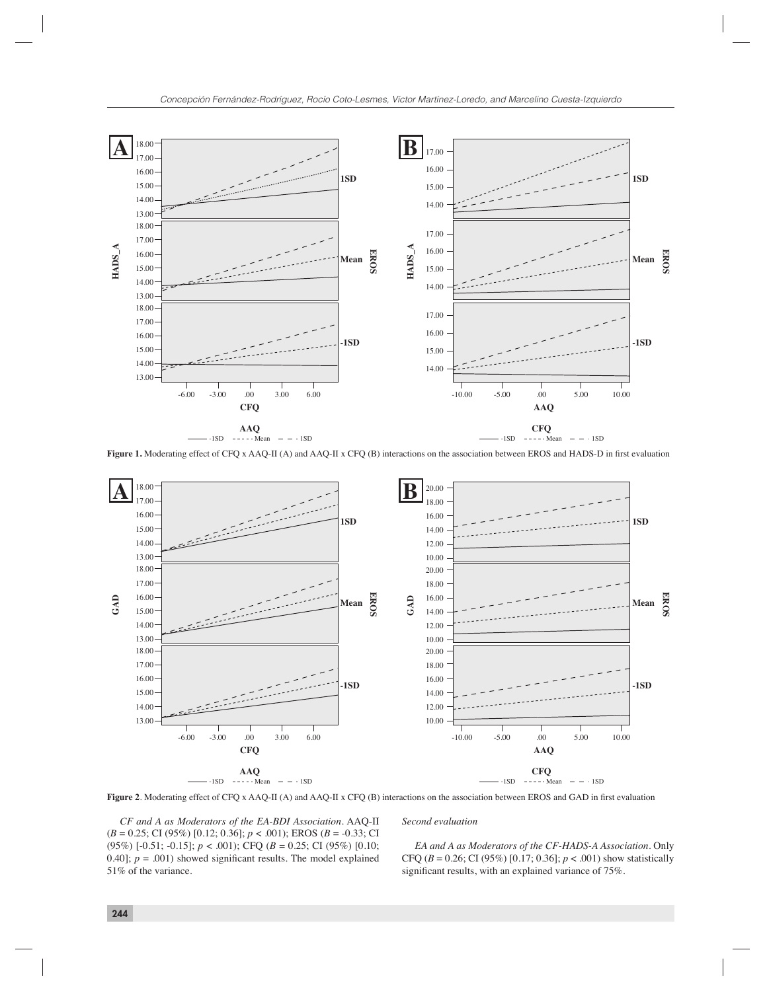

Figure 1. Moderating effect of CFQ x AAQ-II (A) and AAQ-II x CFQ (B) interactions on the association between EROS and HADS-D in first evaluation



Figure 2. Moderating effect of CFQ x AAQ-II (A) and AAQ-II x CFQ (B) interactions on the association between EROS and GAD in first evaluation

*CF and A as Moderators of the EA-BDI Association.* AAQ-II (*B* = 0.25; CI (95%) [0.12; 0.36]; *p* < .001); EROS (*B* = -0.33; CI (95%) [-0.51; -0.15]; *p* < .001); CFQ (*B* = 0.25; CI (95%) [0.10; 0.40];  $p = .001$ ) showed significant results. The model explained 51% of the variance.

# *Second evaluation*

*EA and A as Moderators of the CF-HADS-A Association.* Only CFQ (*B* = 0.26; CI (95%) [0.17; 0.36]; *p* < .001) show statistically significant results, with an explained variance of 75%.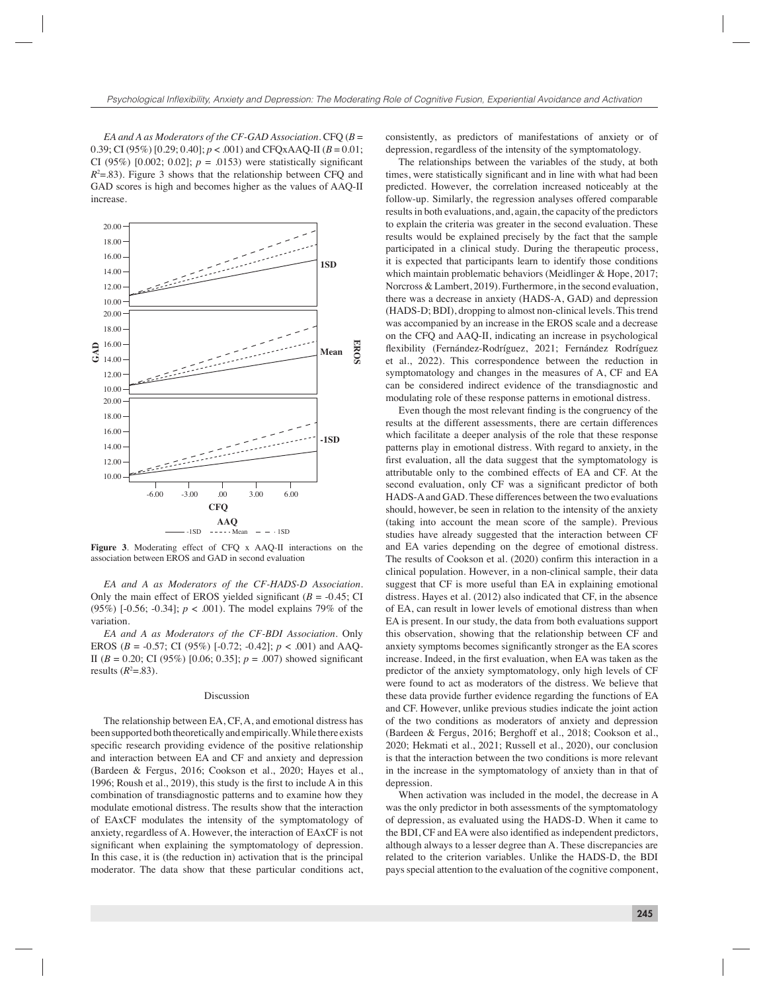*EA and A as Moderators of the CF-GAD Association*. CFQ (*B* = 0.39; CI (95%)  $[0.29; 0.40]$ ;  $p < .001$ ) and CFQxAAQ-II ( $B = 0.01$ ; CI (95%) [0.002; 0.02];  $p = .0153$ ) were statistically significant *R*2 =.83). Figure 3 shows that the relationship between CFQ and GAD scores is high and becomes higher as the values of AAQ-II increase.



**Figure 3**. Moderating effect of CFQ x AAQ-II interactions on the association between EROS and GAD in second evaluation

*EA and A as Moderators of the CF-HADS-D Association.*  Only the main effect of EROS yielded significant  $(B = -0.45;$  CI (95%) [-0.56; -0.34]; *p* < .001). The model explains 79% of the variation.

*EA and A as Moderators of the CF-BDI Association.* Only EROS ( $B = -0.57$ ; CI (95%) [-0.72; -0.42];  $p < .001$ ) and AAQ-II ( $B = 0.20$ ; CI (95%) [0.06; 0.35];  $p = .007$ ) showed significant results  $(R<sup>2</sup>=.83)$ .

#### Discussion

The relationship between EA, CF, A, and emotional distress has been supported both theoretically and empirically. While there exists specific research providing evidence of the positive relationship and interaction between EA and CF and anxiety and depression (Bardeen & Fergus, 2016; Cookson et al., 2020; Hayes et al., 1996; Roush et al.,  $2019$ ), this study is the first to include A in this combination of transdiagnostic patterns and to examine how they modulate emotional distress. The results show that the interaction of EAxCF modulates the intensity of the symptomatology of anxiety, regardless of A. However, the interaction of EAxCF is not significant when explaining the symptomatology of depression. In this case, it is (the reduction in) activation that is the principal moderator. The data show that these particular conditions act,

consistently, as predictors of manifestations of anxiety or of depression, regardless of the intensity of the symptomatology.

The relationships between the variables of the study, at both times, were statistically significant and in line with what had been predicted. However, the correlation increased noticeably at the follow-up. Similarly, the regression analyses offered comparable results in both evaluations, and, again, the capacity of the predictors to explain the criteria was greater in the second evaluation. These results would be explained precisely by the fact that the sample participated in a clinical study. During the therapeutic process, it is expected that participants learn to identify those conditions which maintain problematic behaviors (Meidlinger & Hope, 2017; Norcross & Lambert, 2019). Furthermore, in the second evaluation, there was a decrease in anxiety (HADS-A, GAD) and depression (HADS-D; BDI), dropping to almost non-clinical levels. This trend was accompanied by an increase in the EROS scale and a decrease on the CFQ and AAQ-II, indicating an increase in psychological flexibility (Fernández-Rodríguez, 2021; Fernández Rodríguez et al., 2022). This correspondence between the reduction in symptomatology and changes in the measures of A, CF and EA can be considered indirect evidence of the transdiagnostic and modulating role of these response patterns in emotional distress.

Even though the most relevant finding is the congruency of the results at the different assessments, there are certain differences which facilitate a deeper analysis of the role that these response patterns play in emotional distress. With regard to anxiety, in the first evaluation, all the data suggest that the symptomatology is attributable only to the combined effects of EA and CF. At the second evaluation, only CF was a significant predictor of both HADS-A and GAD. These differences between the two evaluations should, however, be seen in relation to the intensity of the anxiety (taking into account the mean score of the sample). Previous studies have already suggested that the interaction between CF and EA varies depending on the degree of emotional distress. The results of Cookson et al. (2020) confirm this interaction in a clinical population. However, in a non-clinical sample, their data suggest that CF is more useful than EA in explaining emotional distress. Hayes et al. (2012) also indicated that CF, in the absence of EA, can result in lower levels of emotional distress than when EA is present. In our study, the data from both evaluations support this observation, showing that the relationship between CF and anxiety symptoms becomes significantly stronger as the EA scores increase. Indeed, in the first evaluation, when EA was taken as the predictor of the anxiety symptomatology, only high levels of CF were found to act as moderators of the distress. We believe that these data provide further evidence regarding the functions of EA and CF. However, unlike previous studies indicate the joint action of the two conditions as moderators of anxiety and depression (Bardeen & Fergus, 2016; Berghoff et al., 2018; Cookson et al., 2020; Hekmati et al., 2021; Russell et al., 2020), our conclusion is that the interaction between the two conditions is more relevant in the increase in the symptomatology of anxiety than in that of depression.

When activation was included in the model, the decrease in A was the only predictor in both assessments of the symptomatology of depression, as evaluated using the HADS-D. When it came to the BDI, CF and EA were also identified as independent predictors, although always to a lesser degree than A. These discrepancies are related to the criterion variables. Unlike the HADS-D, the BDI pays special attention to the evaluation of the cognitive component,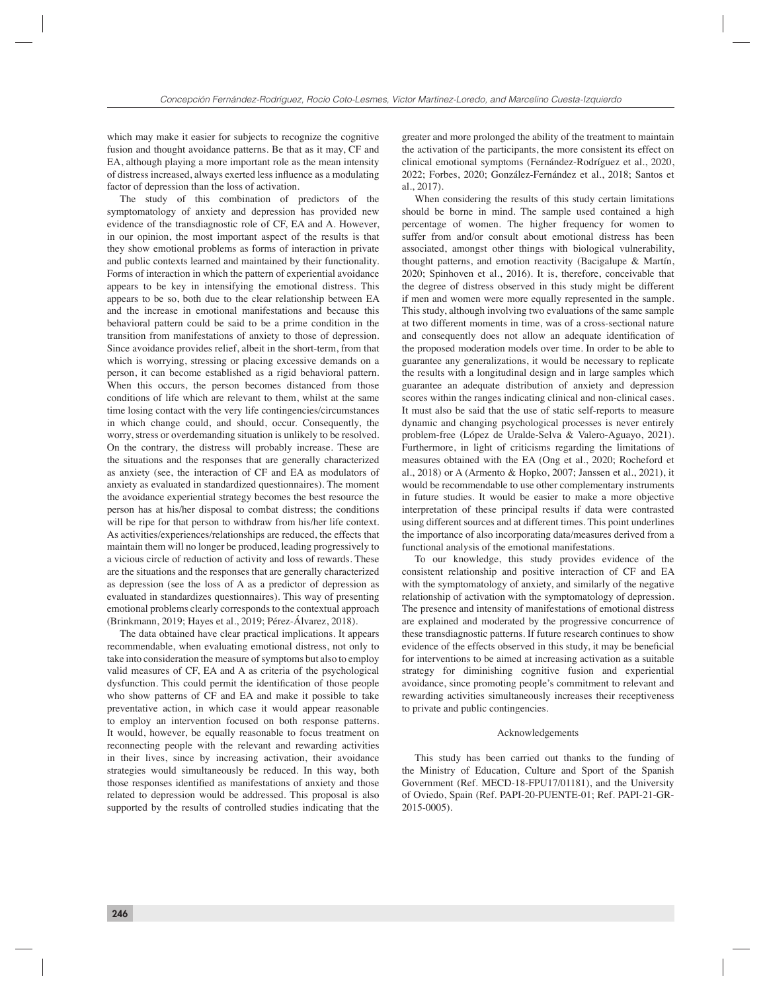which may make it easier for subjects to recognize the cognitive fusion and thought avoidance patterns. Be that as it may, CF and EA, although playing a more important role as the mean intensity of distress increased, always exerted less influence as a modulating factor of depression than the loss of activation.

The study of this combination of predictors of the symptomatology of anxiety and depression has provided new evidence of the transdiagnostic role of CF, EA and A. However, in our opinion, the most important aspect of the results is that they show emotional problems as forms of interaction in private and public contexts learned and maintained by their functionality. Forms of interaction in which the pattern of experiential avoidance appears to be key in intensifying the emotional distress. This appears to be so, both due to the clear relationship between EA and the increase in emotional manifestations and because this behavioral pattern could be said to be a prime condition in the transition from manifestations of anxiety to those of depression. Since avoidance provides relief, albeit in the short-term, from that which is worrying, stressing or placing excessive demands on a person, it can become established as a rigid behavioral pattern. When this occurs, the person becomes distanced from those conditions of life which are relevant to them, whilst at the same time losing contact with the very life contingencies/circumstances in which change could, and should, occur. Consequently, the worry, stress or overdemanding situation is unlikely to be resolved. On the contrary, the distress will probably increase. These are the situations and the responses that are generally characterized as anxiety (see, the interaction of CF and EA as modulators of anxiety as evaluated in standardized questionnaires). The moment the avoidance experiential strategy becomes the best resource the person has at his/her disposal to combat distress; the conditions will be ripe for that person to withdraw from his/her life context. As activities/experiences/relationships are reduced, the effects that maintain them will no longer be produced, leading progressively to a vicious circle of reduction of activity and loss of rewards. These are the situations and the responses that are generally characterized as depression (see the loss of A as a predictor of depression as evaluated in standardizes questionnaires). This way of presenting emotional problems clearly corresponds to the contextual approach (Brinkmann, 2019; Hayes et al., 2019; Pérez-Álvarez, 2018).

The data obtained have clear practical implications. It appears recommendable, when evaluating emotional distress, not only to take into consideration the measure of symptoms but also to employ valid measures of CF, EA and A as criteria of the psychological dysfunction. This could permit the identification of those people who show patterns of CF and EA and make it possible to take preventative action, in which case it would appear reasonable to employ an intervention focused on both response patterns. It would, however, be equally reasonable to focus treatment on reconnecting people with the relevant and rewarding activities in their lives, since by increasing activation, their avoidance strategies would simultaneously be reduced. In this way, both those responses identified as manifestations of anxiety and those related to depression would be addressed. This proposal is also supported by the results of controlled studies indicating that the

greater and more prolonged the ability of the treatment to maintain the activation of the participants, the more consistent its effect on clinical emotional symptoms (Fernández-Rodríguez et al., 2020, 2022; Forbes, 2020; González-Fernández et al., 2018; Santos et al., 2017).

When considering the results of this study certain limitations should be borne in mind. The sample used contained a high percentage of women. The higher frequency for women to suffer from and/or consult about emotional distress has been associated, amongst other things with biological vulnerability, thought patterns, and emotion reactivity (Bacigalupe & Martín, 2020; Spinhoven et al., 2016). It is, therefore, conceivable that the degree of distress observed in this study might be different if men and women were more equally represented in the sample. This study, although involving two evaluations of the same sample at two different moments in time, was of a cross-sectional nature and consequently does not allow an adequate identification of the proposed moderation models over time. In order to be able to guarantee any generalizations, it would be necessary to replicate the results with a longitudinal design and in large samples which guarantee an adequate distribution of anxiety and depression scores within the ranges indicating clinical and non-clinical cases. It must also be said that the use of static self-reports to measure dynamic and changing psychological processes is never entirely problem-free (López de Uralde-Selva & Valero-Aguayo, 2021). Furthermore, in light of criticisms regarding the limitations of measures obtained with the EA (Ong et al., 2020; Rocheford et al., 2018) or A (Armento & Hopko, 2007; Janssen et al., 2021), it would be recommendable to use other complementary instruments in future studies. It would be easier to make a more objective interpretation of these principal results if data were contrasted using different sources and at different times. This point underlines the importance of also incorporating data/measures derived from a functional analysis of the emotional manifestations.

To our knowledge, this study provides evidence of the consistent relationship and positive interaction of CF and EA with the symptomatology of anxiety, and similarly of the negative relationship of activation with the symptomatology of depression. The presence and intensity of manifestations of emotional distress are explained and moderated by the progressive concurrence of these transdiagnostic patterns. If future research continues to show evidence of the effects observed in this study, it may be beneficial for interventions to be aimed at increasing activation as a suitable strategy for diminishing cognitive fusion and experiential avoidance, since promoting people's commitment to relevant and rewarding activities simultaneously increases their receptiveness to private and public contingencies.

#### Acknowledgements

This study has been carried out thanks to the funding of the Ministry of Education, Culture and Sport of the Spanish Government (Ref. MECD-18-FPU17/01181), and the University of Oviedo, Spain (Ref. PAPI-20-PUENTE-01; Ref. PAPI-21-GR-2015-0005).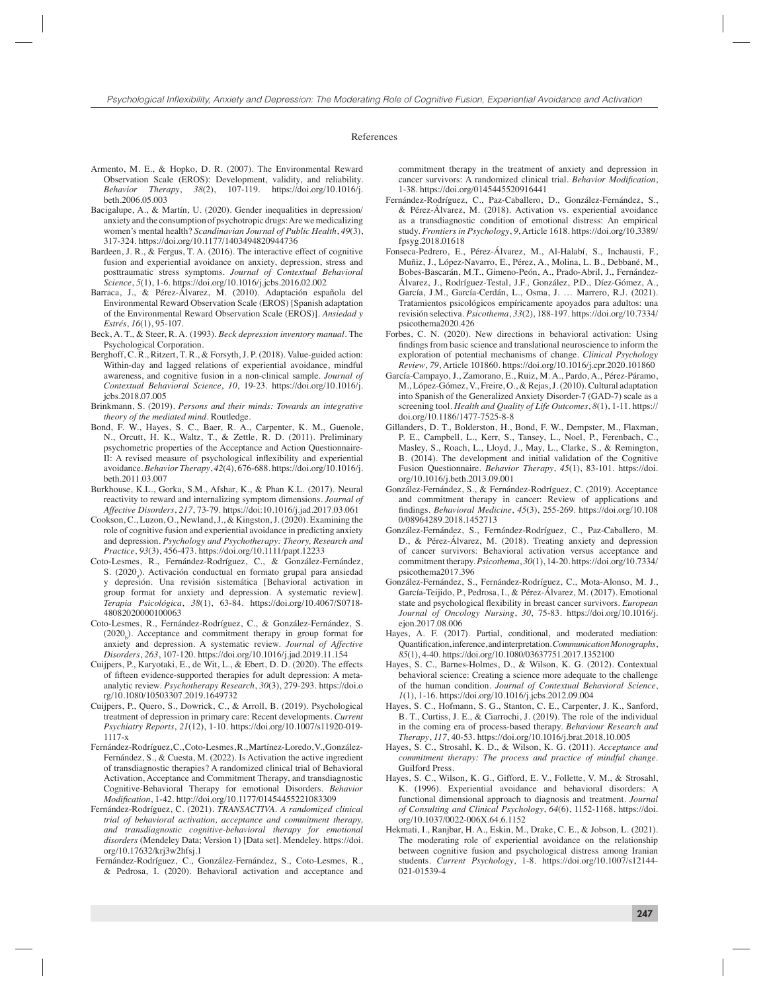#### References

- Armento, M. E., & Hopko, D. R. (2007). The Environmental Reward Observation Scale (EROS): Development, validity, and reliability. *Behavior Therapy*, *38*(2), 107-119. https://doi.org/10.1016/j. beth.2006.05.003
- Bacigalupe, A., & Martín, U. (2020). Gender inequalities in depression/ anxiety and the consumption of psychotropic drugs: Are we medicalizing women's mental health? *Scandinavian Journal of Public Health*, *49*(3), 317-324. https://doi.org/10.1177/1403494820944736
- Bardeen, J. R., & Fergus, T. A. (2016). The interactive effect of cognitive fusion and experiential avoidance on anxiety, depression, stress and posttraumatic stress symptoms. *Journal of Contextual Behavioral Science*, *5*(1), 1-6. https://doi.org/10.1016/j.jcbs.2016.02.002
- Barraca, J., & Pérez-Álvarez, M. (2010). Adaptación española del Environmental Reward Observation Scale (EROS) [Spanish adaptation of the Environmental Reward Observation Scale (EROS)]. *Ansiedad y Estrés*, *16*(1), 95-107.
- Beck, A. T., & Steer, R. A. (1993). *Beck depression inventory manual*. The Psychological Corporation.
- Berghoff, C. R., Ritzert, T. R., & Forsyth, J. P. (2018). Value-guided action: Within-day and lagged relations of experiential avoidance, mindful awareness, and cognitive fusion in a non-clinical sample. *Journal of Contextual Behavioral Science*, *10*, 19-23. https://doi.org/10.1016/j. jcbs.2018.07.005
- Brinkmann, S. (2019). *Persons and their minds: Towards an integrative theory of the mediated mind*. Routledge.
- Bond, F. W., Hayes, S. C., Baer, R. A., Carpenter, K. M., Guenole, N., Orcutt, H. K., Waltz, T., & Zettle, R. D. (2011). Preliminary psychometric properties of the Acceptance and Action Questionnaire-II: A revised measure of psychological inflexibility and experiential avoidance*. Behavior Therapy*, *42*(4), 676-688. https://doi.org/10.1016/j. beth.2011.03.007
- Burkhouse, K.L., Gorka, S.M., Afshar, K., & Phan K.L. (2017). Neural reactivity to reward and internalizing symptom dimensions. *Journal of Affective Disorders*, *217*, 73-79. https://doi:10.1016/j.jad.2017.03.061
- Cookson, C., Luzon, O., Newland, J., & Kingston, J. (2020). Examining the role of cognitive fusion and experiential avoidance in predicting anxiety and depression. *Psychology and Psychotherapy: Theory, Research and Practice*, *93*(3), 456-473. https://doi.org/10.1111/papt.12233
- Coto-Lesmes, R., Fernández-Rodríguez, C., & González-Fernández, S. (2020<sub>a</sub>). Activación conductual en formato grupal para ansiedad y depresión. Una revisión sistemática [Behavioral activation in group format for anxiety and depression. A systematic review]. *Terapia Psicológica*, *38*(1), 63-84. https://doi.org/10.4067/S0718- 48082020000100063
- Coto-Lesmes, R., Fernández-Rodríguez, C., & González-Fernández, S.  $(2020<sub>b</sub>)$ . Acceptance and commitment therapy in group format for anxiety and depression. A systematic review. *Journal of Affective Disorders*, *263*, 107-120. https://doi.org/10.1016/j.jad.2019.11.154
- Cuijpers, P., Karyotaki, E., de Wit, L., & Ebert, D. D. (2020). The effects of fifteen evidence-supported therapies for adult depression: A metaanalytic review. *Psychotherapy Research*, *30*(3), 279-293. https://doi.o rg/10.1080/10503307.2019.1649732
- Cuijpers, P., Quero, S., Dowrick, C., & Arroll, B. (2019). Psychological treatment of depression in primary care: Recent developments. *Current Psychiatry Reports*, *21*(12), 1-10. https://doi.org/10.1007/s11920-019- 1117-x
- Fernández-Rodríguez, C., Coto-Lesmes, R., Martínez-Loredo, V., González-Fernández, S., & Cuesta, M. (2022). Is Activation the active ingredient of transdiagnostic therapies? A randomized clinical trial of Behavioral Activation, Acceptance and Commitment Therapy, and transdiagnostic Cognitive-Behavioral Therapy for emotional Disorders. *Behavior Modifi cation*, 1-42. http://doi.org/10.1177/01454455221083309
- Fernández-Rodríguez, C. (2021). *TRANSACTIVA. A randomized clinical trial of behavioral activation, acceptance and commitment therapy, and transdiagnostic cognitive-behavioral therapy for emotional disorders* (Mendeley Data; Version 1) [Data set]. Mendeley. https://doi. org/10.17632/krj3w2hfsj.1
- Fernández-Rodríguez, C., González-Fernández, S., Coto-Lesmes, R., & Pedrosa, I. (2020). Behavioral activation and acceptance and

commitment therapy in the treatment of anxiety and depression in cancer survivors: A randomized clinical trial. *Behavior Modification*, 1-38. https://doi.org/0145445520916441

- Fernández-Rodríguez, C., Paz-Caballero, D., González-Fernández, S., & Pérez-Álvarez, M. (2018). Activation vs. experiential avoidance as a transdiagnostic condition of emotional distress: An empirical study. *Frontiers in Psychology*, *9*, Article 1618. https://doi.org/10.3389/ fpsyg.2018.01618
- Fonseca-Pedrero, E., Pérez-Álvarez, M., Al-Halabí, S., Inchausti, F., Muñiz, J., López-Navarro, E., Pérez, A., Molina, L. B., Debbané, M., Bobes-Bascarán, M.T., Gimeno-Peón, A., Prado-Abril, J., Fernández-Álvarez, J., Rodríguez-Testal, J.F., González, P.D., Díez-Gómez, A., García, J.M., García-Cerdán, L., Osma, J. … Marrero, R.J. (2021). Tratamientos psicológicos empíricamente apoyados para adultos: una revisión selectiva. *Psicothema*, *33*(2), 188-197. https://doi.org/10.7334/ psicothema2020.426
- Forbes, C. N. (2020). New directions in behavioral activation: Using findings from basic science and translational neuroscience to inform the exploration of potential mechanisms of change. *Clinical Psychology Review*, *79*, Article 101860. https://doi.org/10.1016/j.cpr.2020.101860
- García-Campayo, J., Zamorano, E., Ruiz, M. A., Pardo, A., Pérez-Páramo, M., López-Gómez, V., Freire, O., & Rejas, J. (2010). Cultural adaptation into Spanish of the Generalized Anxiety Disorder-7 (GAD-7) scale as a screening tool. *Health and Quality of Life Outcomes*, *8*(1), 1-11. https:// doi.org/10.1186/1477-7525-8-8
- Gillanders, D. T., Bolderston, H., Bond, F. W., Dempster, M., Flaxman, P. E., Campbell, L., Kerr, S., Tansey, L., Noel, P., Ferenbach, C., Masley, S., Roach, L., Lloyd, J., May, L., Clarke, S., & Remington, B. (2014). The development and initial validation of the Cognitive Fusion Questionnaire. *Behavior Therapy*, *45*(1), 83-101. https://doi. org/10.1016/j.beth.2013.09.001
- González-Fernández, S., & Fernández-Rodríguez, C. (2019). Acceptance and commitment therapy in cancer: Review of applications and fi ndings. *Behavioral Medicine*, *45*(3), 255-269. https://doi.org/10.108 0/08964289.2018.1452713
- González-Fernández, S., Fernández-Rodríguez, C., Paz-Caballero, M. D., & Pérez-Álvarez, M. (2018). Treating anxiety and depression of cancer survivors: Behavioral activation versus acceptance and commitment therapy. *Psicothema*, *30*(1), 14-20. https://doi.org/10.7334/ psicothema2017.396
- González-Fernández, S., Fernández-Rodríguez, C., Mota-Alonso, M. J., García-Teijido, P., Pedrosa, I., & Pérez-Álvarez, M. (2017). Emotional state and psychological flexibility in breast cancer survivors. *European Journal of Oncology Nursing*, *30*, 75-83. https://doi.org/10.1016/j. ejon.2017.08.006
- Hayes, A. F. (2017). Partial, conditional, and moderated mediation: Quantification, inference, and interpretation. *Communication Monographs*, *85*(1), 4-40. https://doi.org/10.1080/03637751.2017.1352100
- Hayes, S. C., Barnes-Holmes, D., & Wilson, K. G. (2012). Contextual behavioral science: Creating a science more adequate to the challenge of the human condition. *Journal of Contextual Behavioral Science*, *1*(1), 1-16. https://doi.org/10.1016/j.jcbs.2012.09.004
- Hayes, S. C., Hofmann, S. G., Stanton, C. E., Carpenter, J. K., Sanford, B. T., Curtiss, J. E., & Ciarrochi, J. (2019). The role of the individual in the coming era of process-based therapy. *Behaviour Research and Therapy*, *117*, 40-53. https://doi.org/10.1016/j.brat.2018.10.005
- Hayes, S. C., Strosahl, K. D., & Wilson, K. G. (2011). *Acceptance and commitment therapy: The process and practice of mindful change*. Guilford Press.
- Hayes, S. C., Wilson, K. G., Gifford, E. V., Follette, V. M., & Strosahl, K. (1996). Experiential avoidance and behavioral disorders: A functional dimensional approach to diagnosis and treatment. *Journal of Consulting and Clinical Psychology*, *64*(6), 1152-1168. https://doi. org/10.1037/0022-006X.64.6.1152
- Hekmati, I., Ranjbar, H. A., Eskin, M., Drake, C. E., & Jobson, L. (2021). The moderating role of experiential avoidance on the relationship between cognitive fusion and psychological distress among Iranian students. *Current Psychology*, 1-8. https://doi.org/10.1007/s12144- 021-01539-4